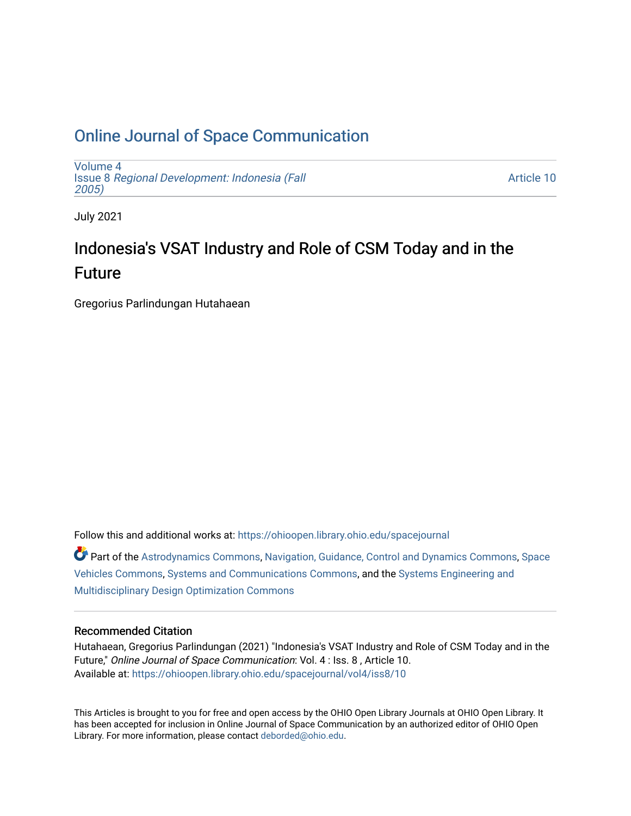# [Online Journal of Space Communication](https://ohioopen.library.ohio.edu/spacejournal)

[Volume 4](https://ohioopen.library.ohio.edu/spacejournal/vol4) Issue 8 [Regional Development: Indonesia \(Fall](https://ohioopen.library.ohio.edu/spacejournal/vol4/iss8) [2005\)](https://ohioopen.library.ohio.edu/spacejournal/vol4/iss8) 

[Article 10](https://ohioopen.library.ohio.edu/spacejournal/vol4/iss8/10) 

July 2021

# Indonesia's VSAT Industry and Role of CSM Today and in the Future

Gregorius Parlindungan Hutahaean

Follow this and additional works at: [https://ohioopen.library.ohio.edu/spacejournal](https://ohioopen.library.ohio.edu/spacejournal?utm_source=ohioopen.library.ohio.edu%2Fspacejournal%2Fvol4%2Fiss8%2F10&utm_medium=PDF&utm_campaign=PDFCoverPages)

Part of the [Astrodynamics Commons,](http://network.bepress.com/hgg/discipline/223?utm_source=ohioopen.library.ohio.edu%2Fspacejournal%2Fvol4%2Fiss8%2F10&utm_medium=PDF&utm_campaign=PDFCoverPages) [Navigation, Guidance, Control and Dynamics Commons,](http://network.bepress.com/hgg/discipline/226?utm_source=ohioopen.library.ohio.edu%2Fspacejournal%2Fvol4%2Fiss8%2F10&utm_medium=PDF&utm_campaign=PDFCoverPages) [Space](http://network.bepress.com/hgg/discipline/220?utm_source=ohioopen.library.ohio.edu%2Fspacejournal%2Fvol4%2Fiss8%2F10&utm_medium=PDF&utm_campaign=PDFCoverPages)  [Vehicles Commons](http://network.bepress.com/hgg/discipline/220?utm_source=ohioopen.library.ohio.edu%2Fspacejournal%2Fvol4%2Fiss8%2F10&utm_medium=PDF&utm_campaign=PDFCoverPages), [Systems and Communications Commons,](http://network.bepress.com/hgg/discipline/276?utm_source=ohioopen.library.ohio.edu%2Fspacejournal%2Fvol4%2Fiss8%2F10&utm_medium=PDF&utm_campaign=PDFCoverPages) and the [Systems Engineering and](http://network.bepress.com/hgg/discipline/221?utm_source=ohioopen.library.ohio.edu%2Fspacejournal%2Fvol4%2Fiss8%2F10&utm_medium=PDF&utm_campaign=PDFCoverPages) [Multidisciplinary Design Optimization Commons](http://network.bepress.com/hgg/discipline/221?utm_source=ohioopen.library.ohio.edu%2Fspacejournal%2Fvol4%2Fiss8%2F10&utm_medium=PDF&utm_campaign=PDFCoverPages) 

#### Recommended Citation

Hutahaean, Gregorius Parlindungan (2021) "Indonesia's VSAT Industry and Role of CSM Today and in the Future," Online Journal of Space Communication: Vol. 4 : Iss. 8 , Article 10. Available at: [https://ohioopen.library.ohio.edu/spacejournal/vol4/iss8/10](https://ohioopen.library.ohio.edu/spacejournal/vol4/iss8/10?utm_source=ohioopen.library.ohio.edu%2Fspacejournal%2Fvol4%2Fiss8%2F10&utm_medium=PDF&utm_campaign=PDFCoverPages)

This Articles is brought to you for free and open access by the OHIO Open Library Journals at OHIO Open Library. It has been accepted for inclusion in Online Journal of Space Communication by an authorized editor of OHIO Open Library. For more information, please contact [deborded@ohio.edu.](mailto:deborded@ohio.edu)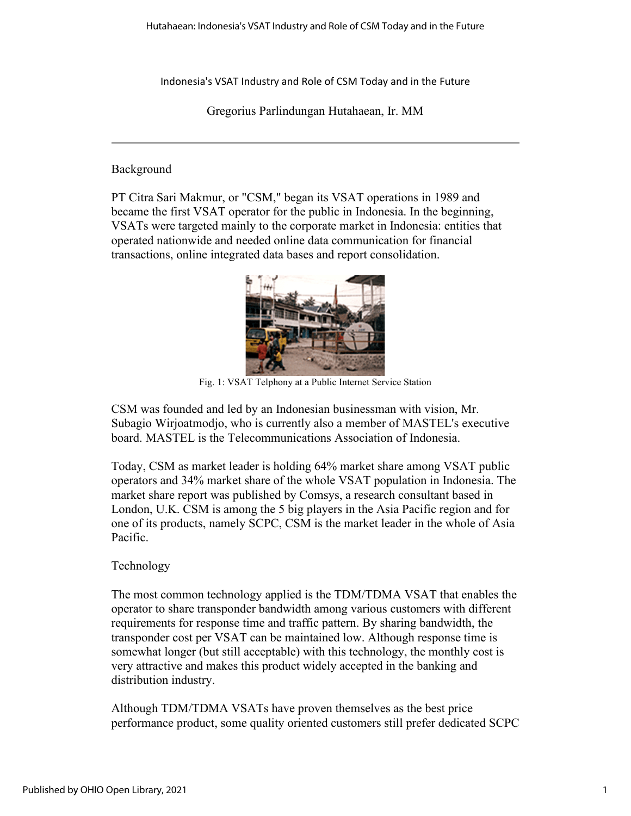Indonesia's VSAT Industry and Role of CSM Today and in the Future

Gregorius Parlindungan Hutahaean, Ir. MM

#### Background

PT Citra Sari Makmur, or "CSM," began its VSAT operations in 1989 and became the first VSAT operator for the public in Indonesia. In the beginning, VSATs were targeted mainly to the corporate market in Indonesia: entities that operated nationwide and needed online data communication for financial transactions, online integrated data bases and report consolidation.



Fig. 1: VSAT Telphony at a Public Internet Service Station

CSM was founded and led by an Indonesian businessman with vision, Mr. Subagio Wirjoatmodjo, who is currently also a member of MASTEL's executive board. MASTEL is the Telecommunications Association of Indonesia.

Today, CSM as market leader is holding 64% market share among VSAT public operators and 34% market share of the whole VSAT population in Indonesia. The market share report was published by Comsys, a research consultant based in London, U.K. CSM is among the 5 big players in the Asia Pacific region and for one of its products, namely SCPC, CSM is the market leader in the whole of Asia Pacific.

## Technology

The most common technology applied is the TDM/TDMA VSAT that enables the operator to share transponder bandwidth among various customers with different requirements for response time and traffic pattern. By sharing bandwidth, the transponder cost per VSAT can be maintained low. Although response time is somewhat longer (but still acceptable) with this technology, the monthly cost is very attractive and makes this product widely accepted in the banking and distribution industry.

Although TDM/TDMA VSATs have proven themselves as the best price performance product, some quality oriented customers still prefer dedicated SCPC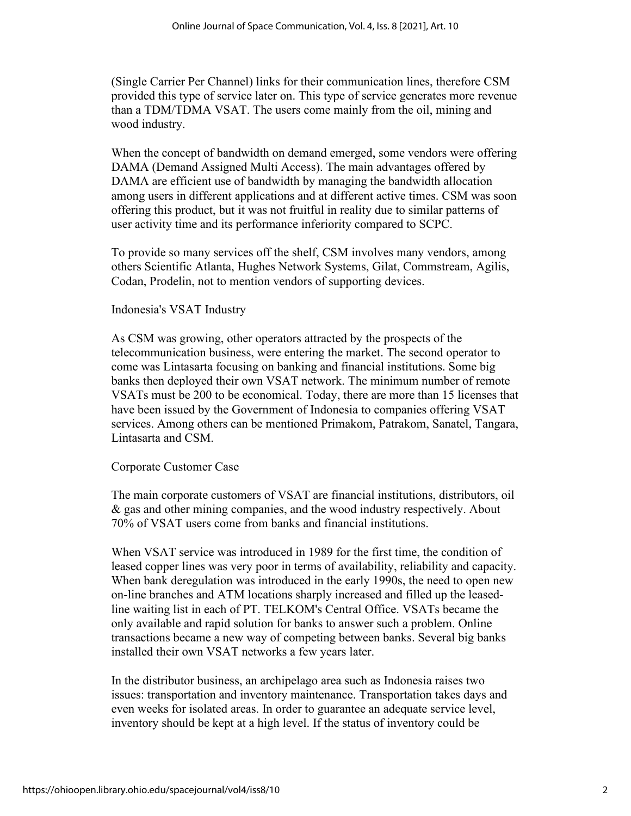(Single Carrier Per Channel) links for their communication lines, therefore CSM provided this type of service later on. This type of service generates more revenue than a TDM/TDMA VSAT. The users come mainly from the oil, mining and wood industry.

When the concept of bandwidth on demand emerged, some vendors were offering DAMA (Demand Assigned Multi Access). The main advantages offered by DAMA are efficient use of bandwidth by managing the bandwidth allocation among users in different applications and at different active times. CSM was soon offering this product, but it was not fruitful in reality due to similar patterns of user activity time and its performance inferiority compared to SCPC.

To provide so many services off the shelf, CSM involves many vendors, among others Scientific Atlanta, Hughes Network Systems, Gilat, Commstream, Agilis, Codan, Prodelin, not to mention vendors of supporting devices.

#### Indonesia's VSAT Industry

As CSM was growing, other operators attracted by the prospects of the telecommunication business, were entering the market. The second operator to come was Lintasarta focusing on banking and financial institutions. Some big banks then deployed their own VSAT network. The minimum number of remote VSATs must be 200 to be economical. Today, there are more than 15 licenses that have been issued by the Government of Indonesia to companies offering VSAT services. Among others can be mentioned Primakom, Patrakom, Sanatel, Tangara, Lintasarta and CSM.

## Corporate Customer Case

The main corporate customers of VSAT are financial institutions, distributors, oil & gas and other mining companies, and the wood industry respectively. About 70% of VSAT users come from banks and financial institutions.

When VSAT service was introduced in 1989 for the first time, the condition of leased copper lines was very poor in terms of availability, reliability and capacity. When bank deregulation was introduced in the early 1990s, the need to open new on-line branches and ATM locations sharply increased and filled up the leasedline waiting list in each of PT. TELKOM's Central Office. VSATs became the only available and rapid solution for banks to answer such a problem. Online transactions became a new way of competing between banks. Several big banks installed their own VSAT networks a few years later.

In the distributor business, an archipelago area such as Indonesia raises two issues: transportation and inventory maintenance. Transportation takes days and even weeks for isolated areas. In order to guarantee an adequate service level, inventory should be kept at a high level. If the status of inventory could be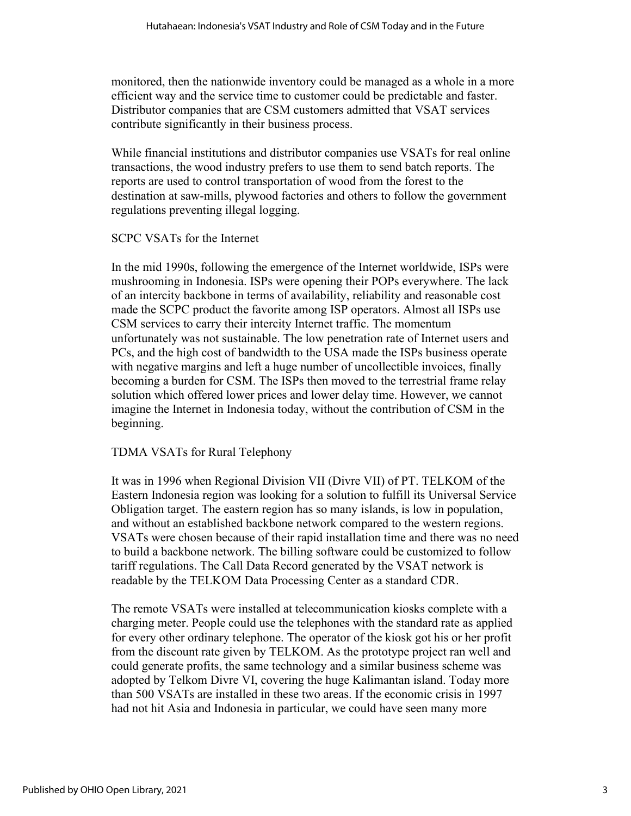monitored, then the nationwide inventory could be managed as a whole in a more efficient way and the service time to customer could be predictable and faster. Distributor companies that are CSM customers admitted that VSAT services contribute significantly in their business process.

While financial institutions and distributor companies use VSATs for real online transactions, the wood industry prefers to use them to send batch reports. The reports are used to control transportation of wood from the forest to the destination at saw-mills, plywood factories and others to follow the government regulations preventing illegal logging.

## SCPC VSATs for the Internet

In the mid 1990s, following the emergence of the Internet worldwide, ISPs were mushrooming in Indonesia. ISPs were opening their POPs everywhere. The lack of an intercity backbone in terms of availability, reliability and reasonable cost made the SCPC product the favorite among ISP operators. Almost all ISPs use CSM services to carry their intercity Internet traffic. The momentum unfortunately was not sustainable. The low penetration rate of Internet users and PCs, and the high cost of bandwidth to the USA made the ISPs business operate with negative margins and left a huge number of uncollectible invoices, finally becoming a burden for CSM. The ISPs then moved to the terrestrial frame relay solution which offered lower prices and lower delay time. However, we cannot imagine the Internet in Indonesia today, without the contribution of CSM in the beginning.

## TDMA VSATs for Rural Telephony

It was in 1996 when Regional Division VII (Divre VII) of PT. TELKOM of the Eastern Indonesia region was looking for a solution to fulfill its Universal Service Obligation target. The eastern region has so many islands, is low in population, and without an established backbone network compared to the western regions. VSATs were chosen because of their rapid installation time and there was no need to build a backbone network. The billing software could be customized to follow tariff regulations. The Call Data Record generated by the VSAT network is readable by the TELKOM Data Processing Center as a standard CDR.

The remote VSATs were installed at telecommunication kiosks complete with a charging meter. People could use the telephones with the standard rate as applied for every other ordinary telephone. The operator of the kiosk got his or her profit from the discount rate given by TELKOM. As the prototype project ran well and could generate profits, the same technology and a similar business scheme was adopted by Telkom Divre VI, covering the huge Kalimantan island. Today more than 500 VSATs are installed in these two areas. If the economic crisis in 1997 had not hit Asia and Indonesia in particular, we could have seen many more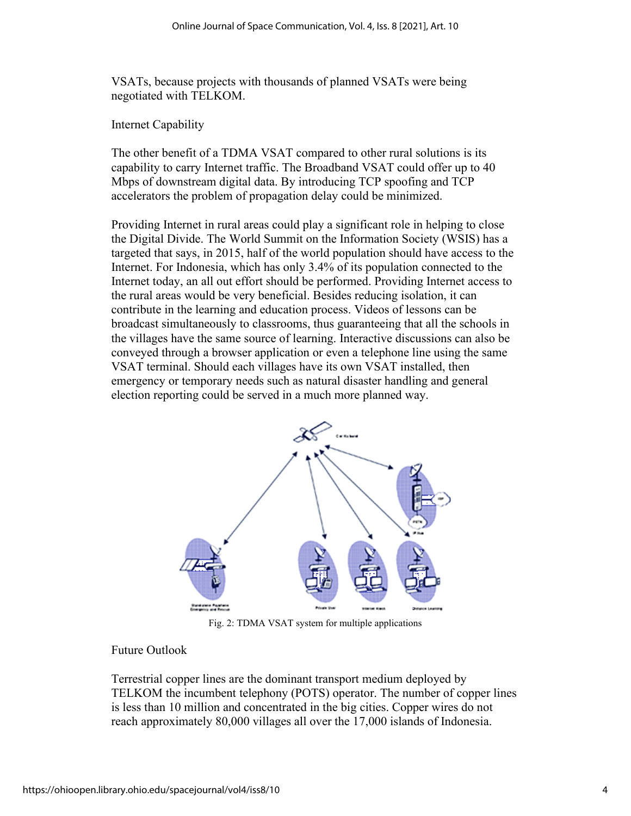VSATs, because projects with thousands of planned VSATs were being negotiated with TELKOM.

Internet Capability

The other benefit of a TDMA VSAT compared to other rural solutions is its capability to carry Internet traffic. The Broadband VSAT could offer up to 40 Mbps of downstream digital data. By introducing TCP spoofing and TCP accelerators the problem of propagation delay could be minimized.

Providing Internet in rural areas could play a significant role in helping to close the Digital Divide. The World Summit on the Information Society (WSIS) has a targeted that says, in 2015, half of the world population should have access to the Internet. For Indonesia, which has only 3.4% of its population connected to the Internet today, an all out effort should be performed. Providing Internet access to the rural areas would be very beneficial. Besides reducing isolation, it can contribute in the learning and education process. Videos of lessons can be broadcast simultaneously to classrooms, thus guaranteeing that all the schools in the villages have the same source of learning. Interactive discussions can also be conveyed through a browser application or even a telephone line using the same VSAT terminal. Should each villages have its own VSAT installed, then emergency or temporary needs such as natural disaster handling and general election reporting could be served in a much more planned way.



Fig. 2: TDMA VSAT system for multiple applications

#### Future Outlook

Terrestrial copper lines are the dominant transport medium deployed by TELKOM the incumbent telephony (POTS) operator. The number of copper lines is less than 10 million and concentrated in the big cities. Copper wires do not reach approximately 80,000 villages all over the 17,000 islands of Indonesia.